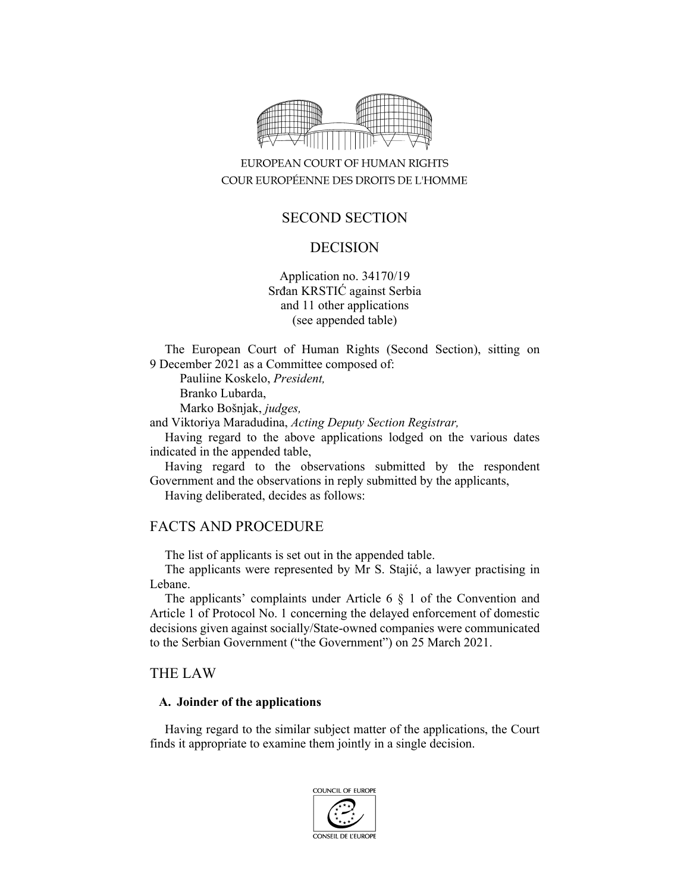

# EUROPEAN COURT OF HUMAN RIGHTS COUR EUROPÉENNE DES DROITS DE L'HOMME

# SECOND SECTION

### DECISION

Application no. 34170/19 Srđan KRSTIĆ against Serbia and 11 other applications (see appended table)

The European Court of Human Rights (Second Section), sitting on 9 December 2021 as a Committee composed of:

Pauliine Koskelo, *President,* 

Branko Lubarda,

Marko Bošnjak, *judges,*

and Viktoriya Maradudina, *Acting Deputy Section Registrar,*

Having regard to the above applications lodged on the various dates indicated in the appended table,

Having regard to the observations submitted by the respondent Government and the observations in reply submitted by the applicants,

Having deliberated, decides as follows:

### FACTS AND PROCEDURE

The list of applicants is set out in the appended table.

The applicants were represented by Mr S. Stajić, a lawyer practising in Lebane.

The applicants' complaints under Article 6 § 1 of the Convention and Article 1 of Protocol No. 1 concerning the delayed enforcement of domestic decisions given against socially/State-owned companies were communicated to the Serbian Government ("the Government") on 25 March 2021.

### THE LAW

#### **A. Joinder of the applications**

Having regard to the similar subject matter of the applications, the Court finds it appropriate to examine them jointly in a single decision.

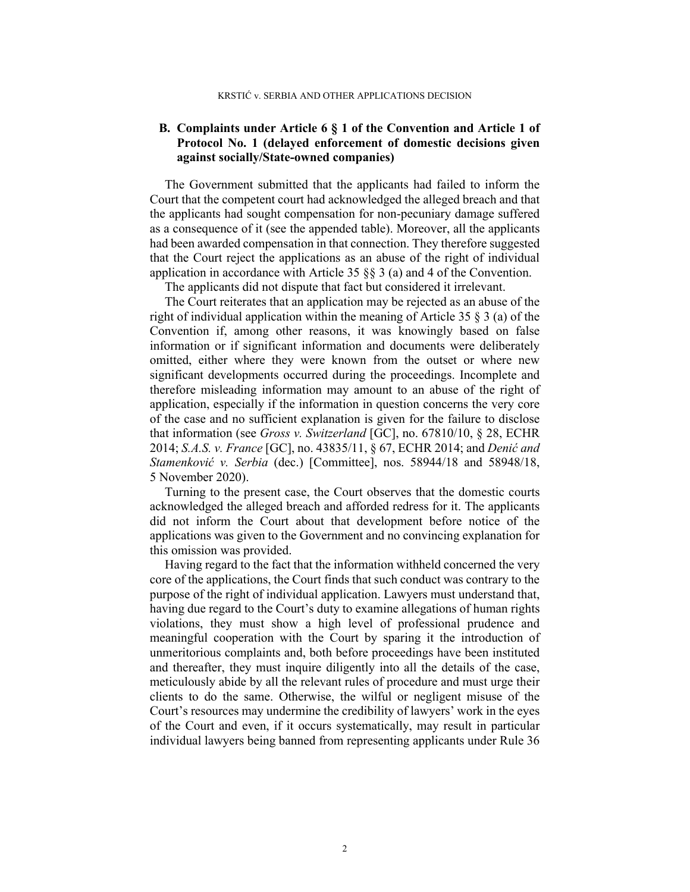#### **B. Complaints under Article 6 § 1 of the Convention and Article 1 of Protocol No. 1 (delayed enforcement of domestic decisions given against socially/State-owned companies)**

The Government submitted that the applicants had failed to inform the Court that the competent court had acknowledged the alleged breach and that the applicants had sought compensation for non-pecuniary damage suffered as a consequence of it (see the appended table). Moreover, all the applicants had been awarded compensation in that connection. They therefore suggested that the Court reject the applications as an abuse of the right of individual application in accordance with Article 35  $\S$  3 (a) and 4 of the Convention.

The applicants did not dispute that fact but considered it irrelevant.

The Court reiterates that an application may be rejected as an abuse of the right of individual application within the meaning of Article 35 § 3 (a) of the Convention if, among other reasons, it was knowingly based on false information or if significant information and documents were deliberately omitted, either where they were known from the outset or where new significant developments occurred during the proceedings. Incomplete and therefore misleading information may amount to an abuse of the right of application, especially if the information in question concerns the very core of the case and no sufficient explanation is given for the failure to disclose that information (see *Gross v. Switzerland* [GC], no. 67810/10, § 28, ECHR 2014; *S.A.S. v. France* [GC], no. 43835/11, § 67, ECHR 2014; and *Denić and Stamenković v. Serbia* (dec.) [Committee], nos. 58944/18 and 58948/18, 5 November 2020).

Turning to the present case, the Court observes that the domestic courts acknowledged the alleged breach and afforded redress for it. The applicants did not inform the Court about that development before notice of the applications was given to the Government and no convincing explanation for this omission was provided.

Having regard to the fact that the information withheld concerned the very core of the applications, the Court finds that such conduct was contrary to the purpose of the right of individual application. Lawyers must understand that, having due regard to the Court's duty to examine allegations of human rights violations, they must show a high level of professional prudence and meaningful cooperation with the Court by sparing it the introduction of unmeritorious complaints and, both before proceedings have been instituted and thereafter, they must inquire diligently into all the details of the case, meticulously abide by all the relevant rules of procedure and must urge their clients to do the same. Otherwise, the wilful or negligent misuse of the Court's resources may undermine the credibility of lawyers' work in the eyes of the Court and even, if it occurs systematically, may result in particular individual lawyers being banned from representing applicants under Rule 36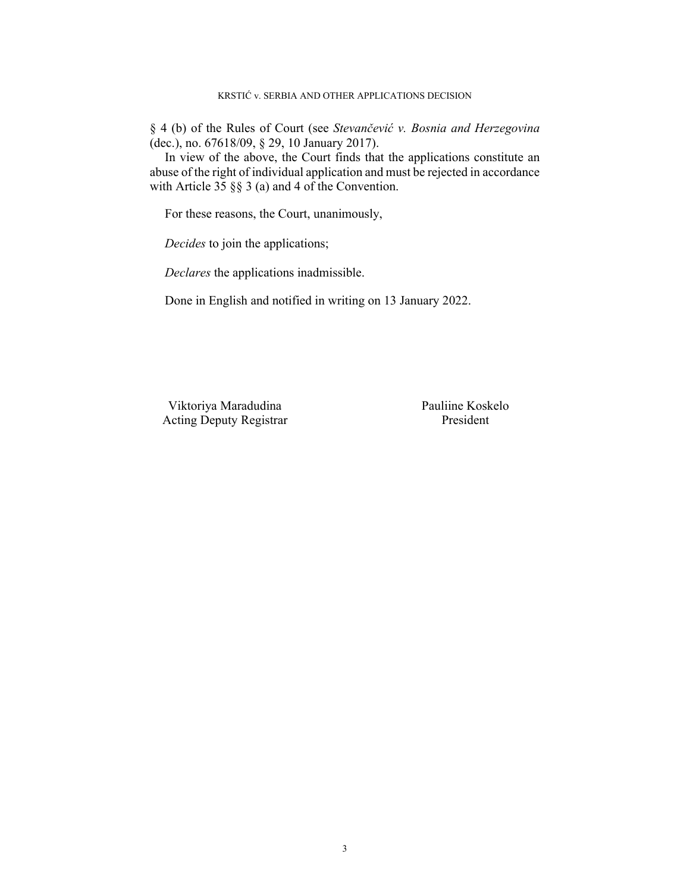§ 4 (b) of the Rules of Court (see *Stevančević v. Bosnia and Herzegovina* (dec.), no. 67618/09, § 29, 10 January 2017).

In view of the above, the Court finds that the applications constitute an abuse of the right of individual application and must be rejected in accordance with Article 35 §§ 3 (a) and 4 of the Convention.

For these reasons, the Court, unanimously,

*Decides* to join the applications;

*Declares* the applications inadmissible.

Done in English and notified in writing on 13 January 2022.

 Viktoriya Maradudina Pauliine Koskelo Acting Deputy Registrar President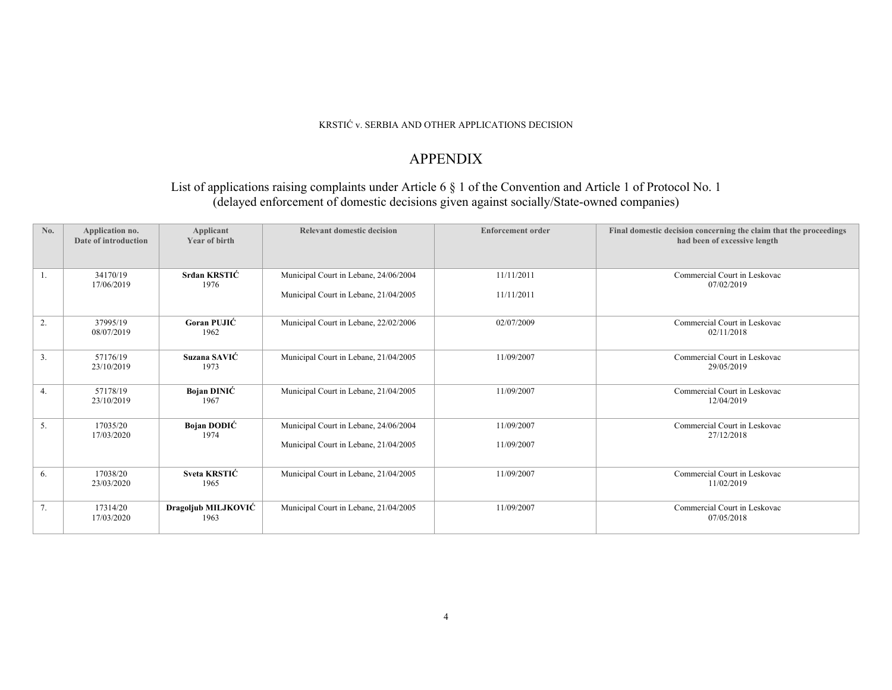#### KRSTIĆ v. SERBIA AND OTHER APPLICATIONS DECISION

# APPENDIX

### List of applications raising complaints under Article 6 § 1 of the Convention and Article 1 of Protocol No. 1 (delayed enforcement of domestic decisions given against socially/State-owned companies)

| No. | Application no.<br>Date of introduction | Applicant<br>Year of birth  | <b>Relevant domestic decision</b>                                              | <b>Enforcement order</b> | Final domestic decision concerning the claim that the proceedings<br>had been of excessive length |
|-----|-----------------------------------------|-----------------------------|--------------------------------------------------------------------------------|--------------------------|---------------------------------------------------------------------------------------------------|
| 1.  | 34170/19<br>17/06/2019                  | Srđan KRSTIĆ<br>1976        | Municipal Court in Lebane, 24/06/2004<br>Municipal Court in Lebane, 21/04/2005 | 11/11/2011<br>11/11/2011 | Commercial Court in Leskovac<br>07/02/2019                                                        |
|     |                                         |                             |                                                                                |                          |                                                                                                   |
| 2.  | 37995/19<br>08/07/2019                  | Goran PUJIĆ<br>1962         | Municipal Court in Lebane, 22/02/2006                                          | 02/07/2009               | Commercial Court in Leskovac<br>02/11/2018                                                        |
| 3.  | 57176/19<br>23/10/2019                  | Suzana SAVIĆ<br>1973        | Municipal Court in Lebane, 21/04/2005                                          | 11/09/2007               | Commercial Court in Leskovac<br>29/05/2019                                                        |
| 4.  | 57178/19<br>23/10/2019                  | Bojan DINIĆ<br>1967         | Municipal Court in Lebane, 21/04/2005                                          | 11/09/2007               | Commercial Court in Leskovac<br>12/04/2019                                                        |
| 5.  | 17035/20<br>17/03/2020                  | Bojan DODIĆ<br>1974         | Municipal Court in Lebane, 24/06/2004                                          | 11/09/2007               | Commercial Court in Leskovac<br>27/12/2018                                                        |
|     |                                         |                             | Municipal Court in Lebane, 21/04/2005                                          | 11/09/2007               |                                                                                                   |
| 6.  | 17038/20<br>23/03/2020                  | Sveta KRSTIĆ<br>1965        | Municipal Court in Lebane, 21/04/2005                                          | 11/09/2007               | Commercial Court in Leskovac<br>11/02/2019                                                        |
| 7.  | 17314/20<br>17/03/2020                  | Dragoljub MILJKOVIĆ<br>1963 | Municipal Court in Lebane, 21/04/2005                                          | 11/09/2007               | Commercial Court in Leskovac<br>07/05/2018                                                        |